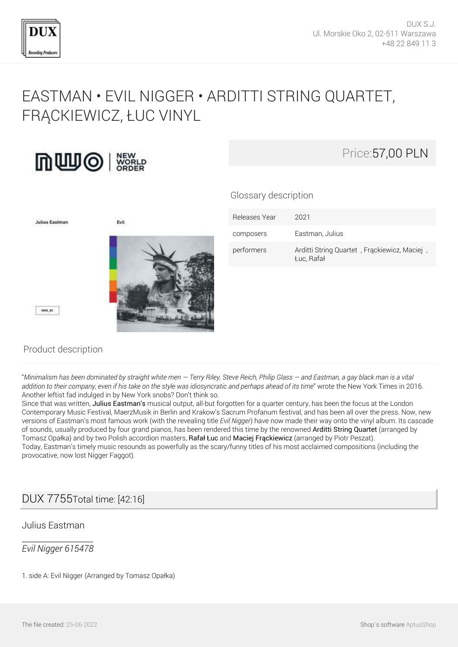

# [EASTMAN • EVIL NIGGER • ARDITTI STRING QUARTET,](http://en.dux.pl/eastman-evil-nigger-arditti-string-quartet-frackiewicz-luc-vinyl.html) [FRĄCKIEWICZ, ŁUC VINYL](http://en.dux.pl/eastman-evil-nigger-arditti-string-quartet-frackiewicz-luc-vinyl.html)





Glossary description



| Releases Year | 2021                                                       |
|---------------|------------------------------------------------------------|
| composers     | Eastman, Julius                                            |
| performers    | Arditti String Quartet, Frąckiewicz, Maciej,<br>Luc, Rafał |

### Product description

"*Minimalism has been dominated by straight white men — Terry Riley, Steve Reich, Philip Glass — and Eastman, a gay black man is a vital addition to their company, even if his take on the style was idiosyncratic and perhaps ahead of its time*" wrote the New York Times in 2016. Another leftist fad indulged in by New York snobs? Don't think so.

Since that was written, Julius Eastman's musical output, all-but forgotten for a quarter century, has been the focus at the London Contemporary Music Festival, MaerzMusik in Berlin and Krakow's Sacrum Profanum festival, and has been all over the press. Now, new versions of Eastman's most famous work (with the revealing title *Evil Nigger*) have now made their way onto the vinyl album. Its cascade of sounds, usually produced by four grand pianos, has been rendered this time by the renowned Arditti String Quartet (arranged by Tomasz Opałka) and by two Polish accordion masters, Rafał Łuc and Maciej Frąckiewicz (arranged by Piotr Peszat). Today, Eastman's timely music resounds as powerfully as the scary/funny titles of his most acclaimed compositions (including the provocative, now lost Nigger Faggot).

## DUX 7755Total time: [42:16]

#### Julius Eastman

#### *Evil Nigger 615478*

1. side A: Evil Nigger (Arranged by Tomasz Opałka)